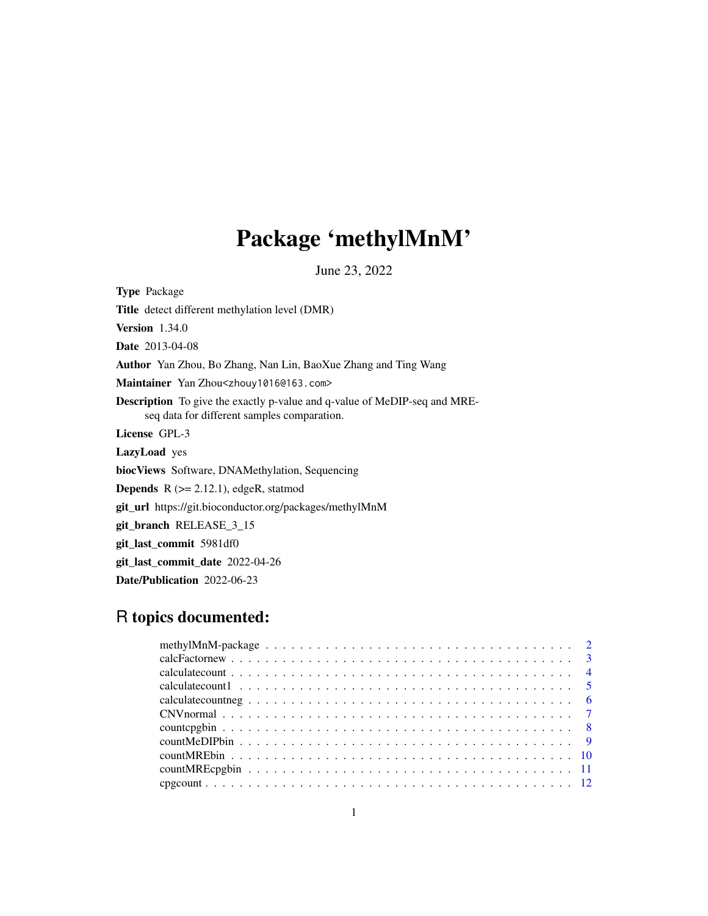## Package 'methylMnM'

June 23, 2022

Type Package Title detect different methylation level (DMR) Version 1.34.0 Date 2013-04-08 Author Yan Zhou, Bo Zhang, Nan Lin, BaoXue Zhang and Ting Wang Maintainer Yan Zhou<zhouy1016@163.com> Description To give the exactly p-value and q-value of MeDIP-seq and MREseq data for different samples comparation. License GPL-3 LazyLoad yes biocViews Software, DNAMethylation, Sequencing **Depends**  $R$  ( $>= 2.12.1$ ), edgeR, statmod git\_url https://git.bioconductor.org/packages/methylMnM git\_branch RELEASE\_3\_15 git\_last\_commit 5981df0 git\_last\_commit\_date 2022-04-26 Date/Publication 2022-06-23

### R topics documented:

| calculate count $1 \ldots \ldots \ldots \ldots \ldots \ldots \ldots \ldots \ldots \ldots \ldots \ldots$ |  |
|---------------------------------------------------------------------------------------------------------|--|
|                                                                                                         |  |
|                                                                                                         |  |
|                                                                                                         |  |
|                                                                                                         |  |
|                                                                                                         |  |
|                                                                                                         |  |
|                                                                                                         |  |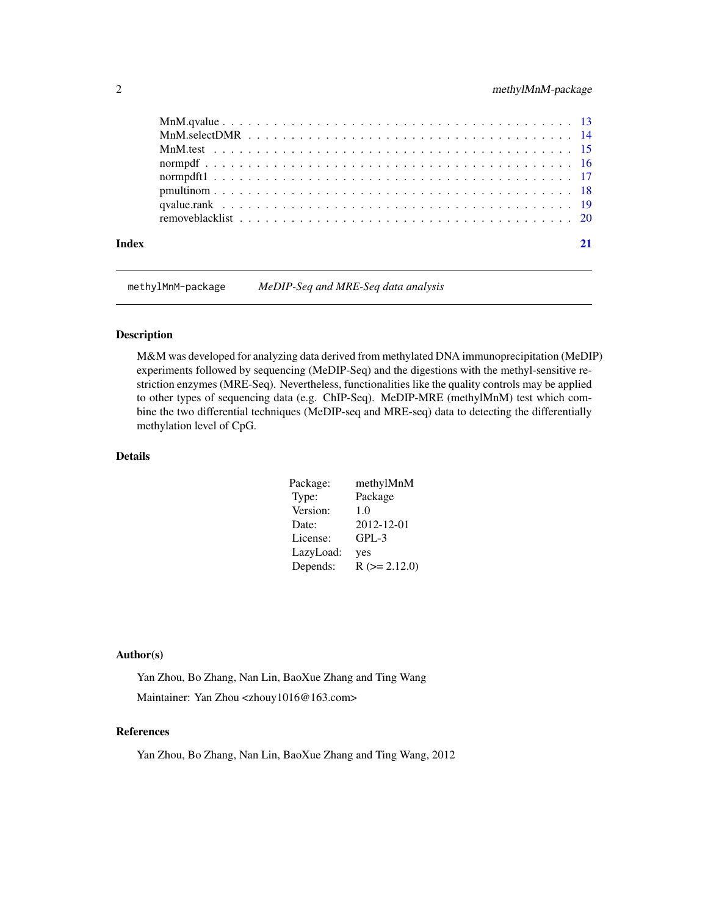<span id="page-1-0"></span>

|       | MnM test $\ldots$ $\ldots$ $\ldots$ $\ldots$ $\ldots$ $\ldots$ $\ldots$ $\ldots$ $\ldots$ $\ldots$ $\ldots$ $\ldots$ $\ldots$ $\ldots$ $\ldots$ $\ldots$ $\vdots$ |  |
|-------|-------------------------------------------------------------------------------------------------------------------------------------------------------------------|--|
|       |                                                                                                                                                                   |  |
|       |                                                                                                                                                                   |  |
|       |                                                                                                                                                                   |  |
|       |                                                                                                                                                                   |  |
|       |                                                                                                                                                                   |  |
|       |                                                                                                                                                                   |  |
| Index |                                                                                                                                                                   |  |

methylMnM-package *MeDIP-Seq and MRE-Seq data analysis*

#### Description

M&M was developed for analyzing data derived from methylated DNA immunoprecipitation (MeDIP) experiments followed by sequencing (MeDIP-Seq) and the digestions with the methyl-sensitive restriction enzymes (MRE-Seq). Nevertheless, functionalities like the quality controls may be applied to other types of sequencing data (e.g. ChIP-Seq). MeDIP-MRE (methylMnM) test which combine the two differential techniques (MeDIP-seq and MRE-seq) data to detecting the differentially methylation level of CpG.

#### Details

| Package:  | methylMnM           |
|-----------|---------------------|
| Type:     | Package             |
| Version:  | 1.0                 |
| Date:     | 2012-12-01          |
| License:  | $GPL-3$             |
| LazyLoad: | yes                 |
| Depends:  | $R$ ( $>= 2.12.0$ ) |

#### Author(s)

Yan Zhou, Bo Zhang, Nan Lin, BaoXue Zhang and Ting Wang Maintainer: Yan Zhou <zhouy1016@163.com>

#### References

Yan Zhou, Bo Zhang, Nan Lin, BaoXue Zhang and Ting Wang, 2012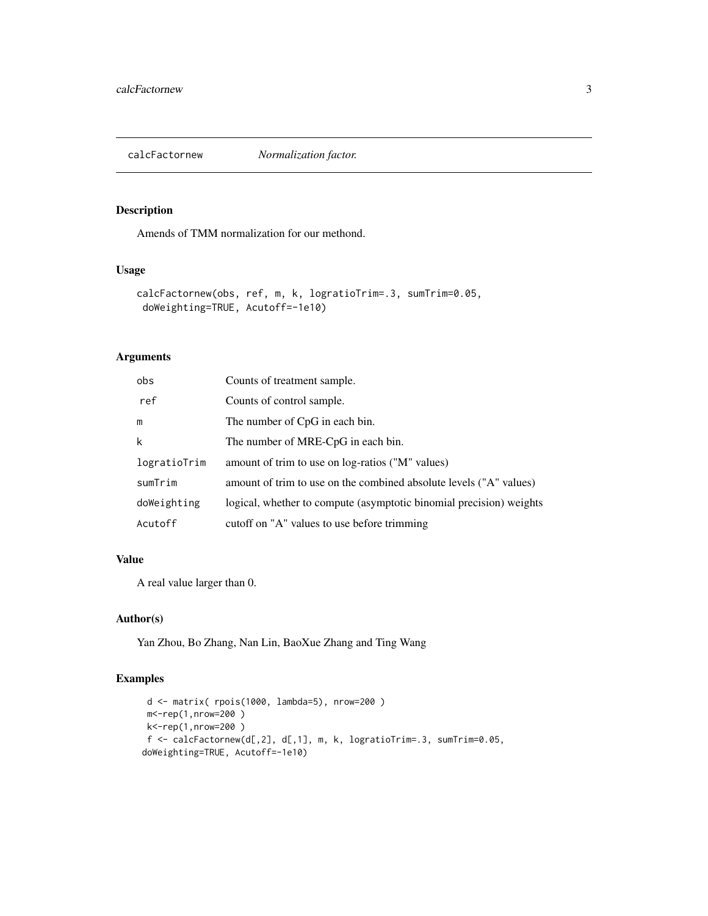<span id="page-2-0"></span>

Amends of TMM normalization for our methond.

#### Usage

```
calcFactornew(obs, ref, m, k, logratioTrim=.3, sumTrim=0.05,
doWeighting=TRUE, Acutoff=-1e10)
```
#### Arguments

| obs          | Counts of treatment sample.                                         |
|--------------|---------------------------------------------------------------------|
| ref          | Counts of control sample.                                           |
| m            | The number of CpG in each bin.                                      |
| k            | The number of MRE-CpG in each bin.                                  |
| logratioTrim | amount of trim to use on log-ratios ("M" values)                    |
| sumTrim      | amount of trim to use on the combined absolute levels ("A" values)  |
| doWeighting  | logical, whether to compute (asymptotic binomial precision) weights |
| Acutoff      | cutoff on "A" values to use before trimming                         |

#### Value

A real value larger than 0.

#### Author(s)

Yan Zhou, Bo Zhang, Nan Lin, BaoXue Zhang and Ting Wang

```
d <- matrix( rpois(1000, lambda=5), nrow=200 )
 m<-rep(1,nrow=200 )
 k<-rep(1,nrow=200 )
 f <- calcFactornew(d[,2], d[,1], m, k, logratioTrim=.3, sumTrim=0.05,
doWeighting=TRUE, Acutoff=-1e10)
```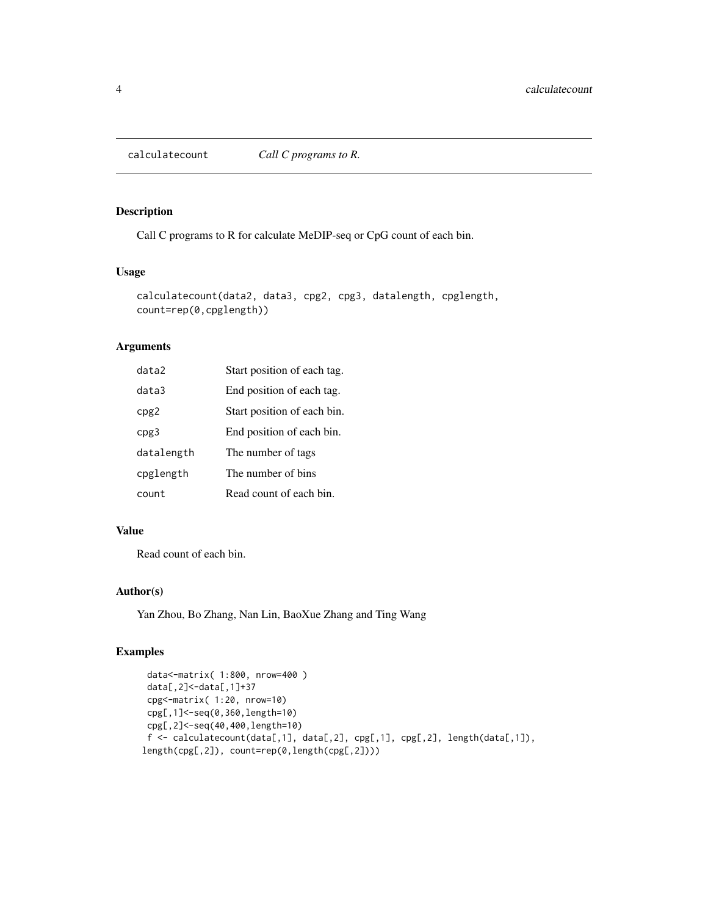<span id="page-3-0"></span>

Call C programs to R for calculate MeDIP-seq or CpG count of each bin.

#### Usage

```
calculatecount(data2, data3, cpg2, cpg3, datalength, cpglength,
count=rep(0,cpglength))
```
#### Arguments

| data2      | Start position of each tag. |
|------------|-----------------------------|
| data3      | End position of each tag.   |
| cpg2       | Start position of each bin. |
| cpg3       | End position of each bin.   |
| datalength | The number of tags          |
| cpglength  | The number of bins          |
| count      | Read count of each bin.     |

#### Value

Read count of each bin.

#### Author(s)

Yan Zhou, Bo Zhang, Nan Lin, BaoXue Zhang and Ting Wang

```
data<-matrix( 1:800, nrow=400 )
 data[,2]<-data[,1]+37
 cpg<-matrix( 1:20, nrow=10)
 cpg[,1]<-seq(0,360,length=10)
 cpg[,2]<-seq(40,400,length=10)
 f <- calculatecount(data[,1], data[,2], cpg[,1], cpg[,2], length(data[,1]),
length(cpg[,2]), count=rep(0,length(cpg[,2])))
```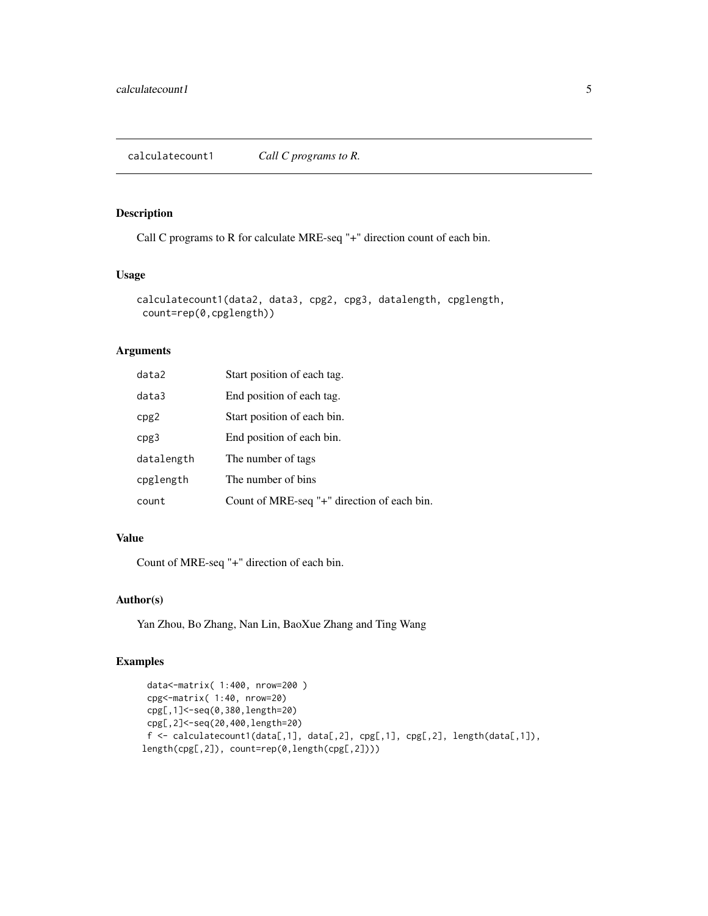<span id="page-4-0"></span>Call C programs to R for calculate MRE-seq "+" direction count of each bin.

#### Usage

```
calculatecount1(data2, data3, cpg2, cpg3, datalength, cpglength,
count=rep(0,cpglength))
```
#### Arguments

| data2      | Start position of each tag.                 |
|------------|---------------------------------------------|
| data3      | End position of each tag.                   |
| cpg2       | Start position of each bin.                 |
| cpg3       | End position of each bin.                   |
| datalength | The number of tags                          |
| cpglength  | The number of bins                          |
| count      | Count of MRE-seq "+" direction of each bin. |

#### Value

Count of MRE-seq "+" direction of each bin.

#### Author(s)

Yan Zhou, Bo Zhang, Nan Lin, BaoXue Zhang and Ting Wang

```
data<-matrix( 1:400, nrow=200 )
 cpg<-matrix( 1:40, nrow=20)
 cpg[,1]<-seq(0,380,length=20)
 cpg[,2]<-seq(20,400,length=20)
 f <- calculatecount1(data[,1], data[,2], cpg[,1], cpg[,2], length(data[,1]),
length(cpg[,2]), count=rep(0,length(cpg[,2])))
```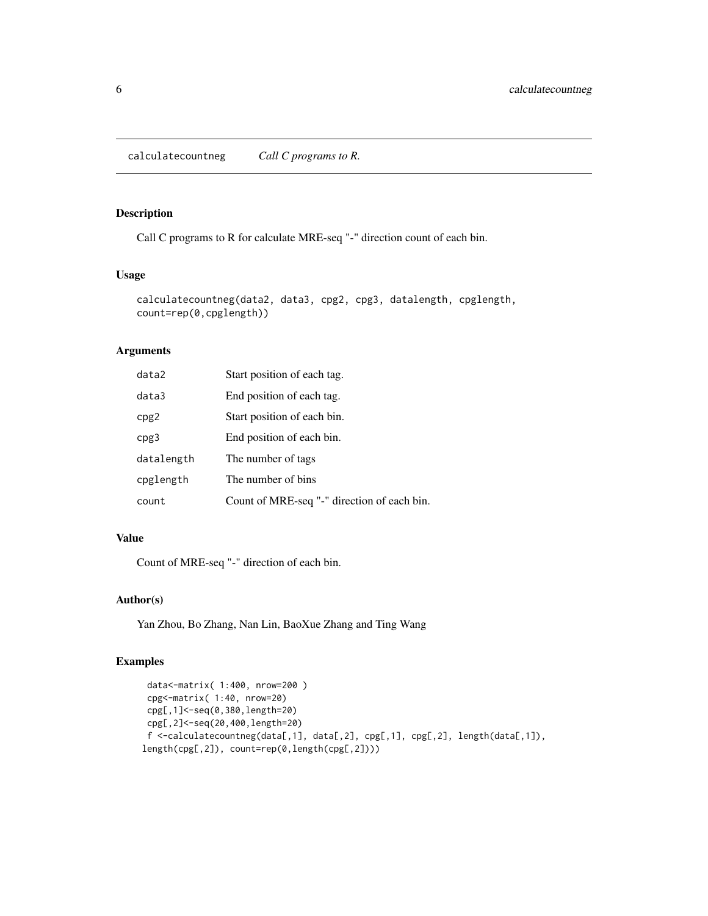<span id="page-5-0"></span>calculatecountneg *Call C programs to R.*

#### Description

Call C programs to R for calculate MRE-seq "-" direction count of each bin.

#### Usage

```
calculatecountneg(data2, data3, cpg2, cpg3, datalength, cpglength,
count=rep(0,cpglength))
```
#### Arguments

| data2      | Start position of each tag.                 |
|------------|---------------------------------------------|
| data3      | End position of each tag.                   |
| cpg2       | Start position of each bin.                 |
| cpg3       | End position of each bin.                   |
| datalength | The number of tags                          |
| cpglength  | The number of bins                          |
| count      | Count of MRE-seq "-" direction of each bin. |

#### Value

Count of MRE-seq "-" direction of each bin.

#### Author(s)

Yan Zhou, Bo Zhang, Nan Lin, BaoXue Zhang and Ting Wang

```
data<-matrix( 1:400, nrow=200 )
 cpg<-matrix( 1:40, nrow=20)
 cpg[,1]<-seq(0,380,length=20)
 cpg[,2]<-seq(20,400,length=20)
 f <-calculatecountneg(data[,1], data[,2], cpg[,1], cpg[,2], length(data[,1]),
length(cpg[,2]), count=rep(0,length(cpg[,2])))
```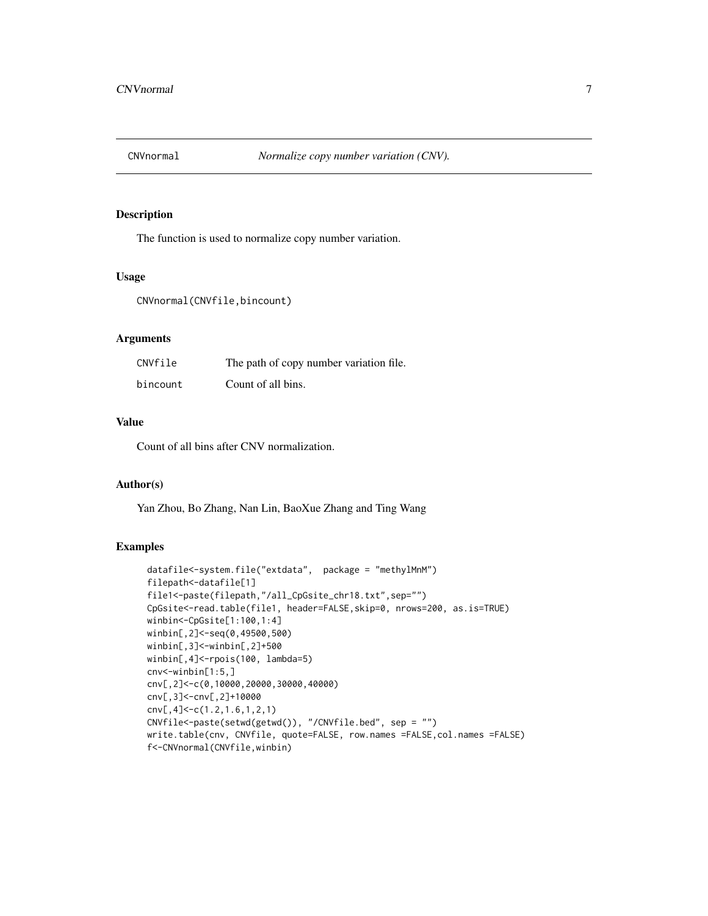<span id="page-6-0"></span>

The function is used to normalize copy number variation.

#### Usage

CNVnormal(CNVfile,bincount)

#### Arguments

| CNVfile  | The path of copy number variation file. |
|----------|-----------------------------------------|
| bincount | Count of all bins.                      |

#### Value

Count of all bins after CNV normalization.

#### Author(s)

Yan Zhou, Bo Zhang, Nan Lin, BaoXue Zhang and Ting Wang

```
datafile<-system.file("extdata", package = "methylMnM")
filepath<-datafile[1]
file1<-paste(filepath,"/all_CpGsite_chr18.txt",sep="")
CpGsite<-read.table(file1, header=FALSE,skip=0, nrows=200, as.is=TRUE)
winbin<-CpGsite[1:100,1:4]
winbin[,2]<-seq(0,49500,500)
winbin[,3]<-winbin[,2]+500
winbin[,4]<-rpois(100, lambda=5)
cnv<-winbin[1:5,]
cnv[,2]<-c(0,10000,20000,30000,40000)
cnv[,3]<-cnv[,2]+10000
cnv[,4]<-c(1.2,1.6,1,2,1)
CNVfile<-paste(setwd(getwd()), "/CNVfile.bed", sep = "")
write.table(cnv, CNVfile, quote=FALSE, row.names =FALSE,col.names =FALSE)
f<-CNVnormal(CNVfile,winbin)
```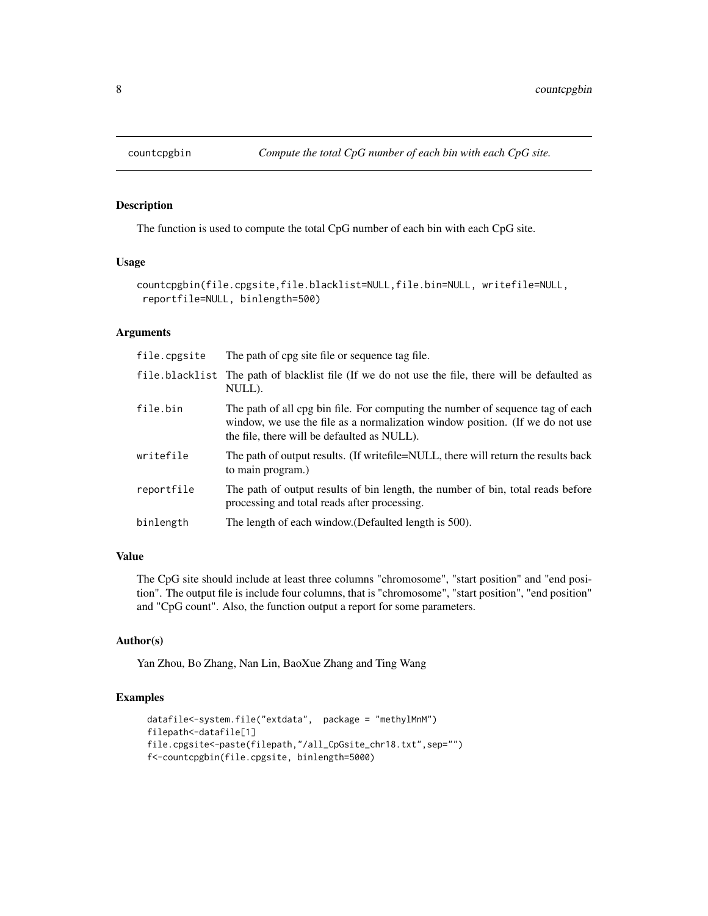<span id="page-7-0"></span>

The function is used to compute the total CpG number of each bin with each CpG site.

#### Usage

```
countcpgbin(file.cpgsite,file.blacklist=NULL,file.bin=NULL, writefile=NULL,
reportfile=NULL, binlength=500)
```
#### Arguments

| file.cpgsite | The path of cpg site file or sequence tag file.                                                                                                                                                                |
|--------------|----------------------------------------------------------------------------------------------------------------------------------------------------------------------------------------------------------------|
|              | file blacklist The path of blacklist file (If we do not use the file, there will be defaulted as<br>NULL).                                                                                                     |
| file.bin     | The path of all cpg bin file. For computing the number of sequence tag of each<br>window, we use the file as a normalization window position. (If we do not use<br>the file, there will be defaulted as NULL). |
| writefile    | The path of output results. (If write file = NULL, there will return the results back<br>to main program.)                                                                                                     |
| reportfile   | The path of output results of bin length, the number of bin, total reads before<br>processing and total reads after processing.                                                                                |
| binlength    | The length of each window. (Defaulted length is 500).                                                                                                                                                          |

#### Value

The CpG site should include at least three columns "chromosome", "start position" and "end position". The output file is include four columns, that is "chromosome", "start position", "end position" and "CpG count". Also, the function output a report for some parameters.

#### Author(s)

Yan Zhou, Bo Zhang, Nan Lin, BaoXue Zhang and Ting Wang

```
datafile<-system.file("extdata", package = "methylMnM")
filepath<-datafile[1]
file.cpgsite<-paste(filepath,"/all_CpGsite_chr18.txt",sep="")
f<-countcpgbin(file.cpgsite, binlength=5000)
```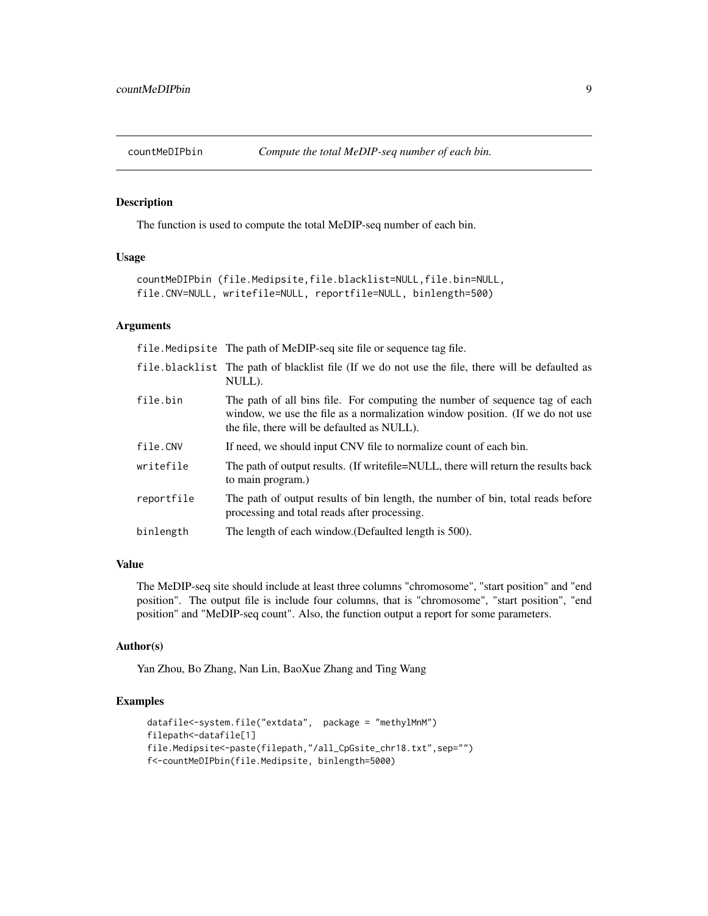<span id="page-8-0"></span>

The function is used to compute the total MeDIP-seq number of each bin.

#### Usage

```
countMeDIPbin (file.Medipsite,file.blacklist=NULL,file.bin=NULL,
file.CNV=NULL, writefile=NULL, reportfile=NULL, binlength=500)
```
#### Arguments

file.Medipsite The path of MeDIP-seq site file or sequence tag file.

- file.blacklist The path of blacklist file (If we do not use the file, there will be defaulted as NULL).
- file.bin The path of all bins file. For computing the number of sequence tag of each window, we use the file as a normalization window position. (If we do not use the file, there will be defaulted as NULL).
- file. CNV If need, we should input CNV file to normalize count of each bin.
- writefile The path of output results. (If writefile=NULL, there will return the results back to main program.)
- reportfile The path of output results of bin length, the number of bin, total reads before processing and total reads after processing.

binlength The length of each window.(Defaulted length is 500).

#### Value

The MeDIP-seq site should include at least three columns "chromosome", "start position" and "end position". The output file is include four columns, that is "chromosome", "start position", "end position" and "MeDIP-seq count". Also, the function output a report for some parameters.

#### Author(s)

Yan Zhou, Bo Zhang, Nan Lin, BaoXue Zhang and Ting Wang

```
datafile<-system.file("extdata", package = "methylMnM")
filepath<-datafile[1]
file.Medipsite<-paste(filepath,"/all_CpGsite_chr18.txt",sep="")
f<-countMeDIPbin(file.Medipsite, binlength=5000)
```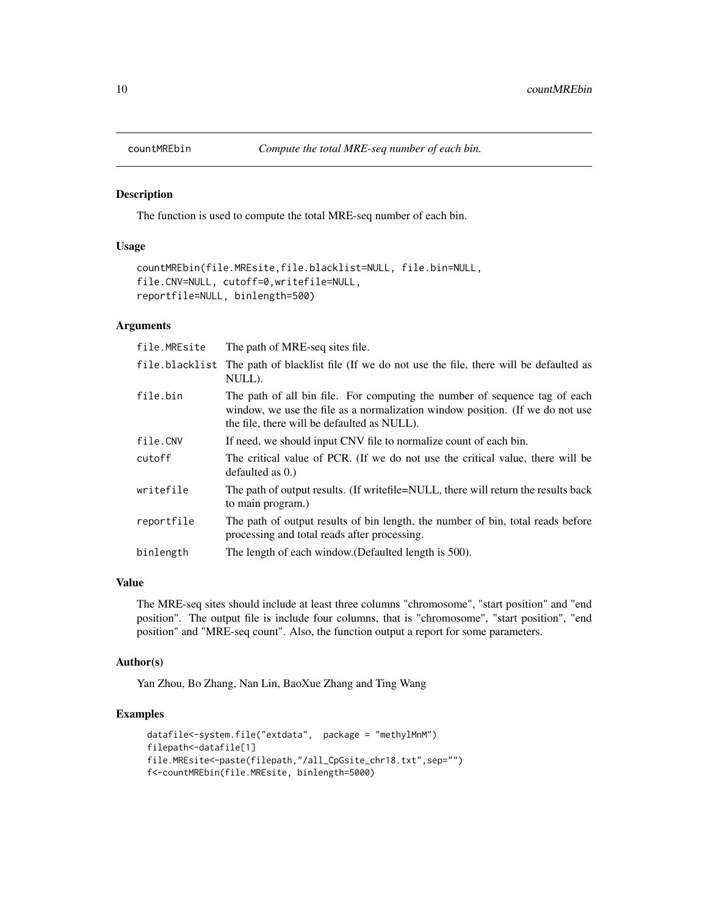<span id="page-9-0"></span>

The function is used to compute the total MRE-seq number of each bin.

#### Usage

```
countMREbin(file.MREsite,file.blacklist=NULL, file.bin=NULL,
file.CNV=NULL, cutoff=0,writefile=NULL,
reportfile=NULL, binlength=500)
```
#### Arguments

| file.MREsite | The path of MRE-seq sites file.                                                                                                                                                                            |
|--------------|------------------------------------------------------------------------------------------------------------------------------------------------------------------------------------------------------------|
|              | file blacklist The path of blacklist file (If we do not use the file, there will be defaulted as<br>NULL).                                                                                                 |
| file.bin     | The path of all bin file. For computing the number of sequence tag of each<br>window, we use the file as a normalization window position. (If we do not use<br>the file, there will be defaulted as NULL). |
| file.CNV     | If need, we should input CNV file to normalize count of each bin.                                                                                                                                          |
| cutoff       | The critical value of PCR. (If we do not use the critical value, there will be<br>defaulted as $0.$ )                                                                                                      |
| writefile    | The path of output results. (If write file = NULL, there will return the results back<br>to main program.)                                                                                                 |
| reportfile   | The path of output results of bin length, the number of bin, total reads before<br>processing and total reads after processing.                                                                            |
| binlength    | The length of each window. (Defaulted length is 500).                                                                                                                                                      |

#### Value

The MRE-seq sites should include at least three columns "chromosome", "start position" and "end position". The output file is include four columns, that is "chromosome", "start position", "end position" and "MRE-seq count". Also, the function output a report for some parameters.

#### Author(s)

Yan Zhou, Bo Zhang, Nan Lin, BaoXue Zhang and Ting Wang

```
datafile<-system.file("extdata", package = "methylMnM")
filepath<-datafile[1]
file.MREsite<-paste(filepath,"/all_CpGsite_chr18.txt",sep="")
f<-countMREbin(file.MREsite, binlength=5000)
```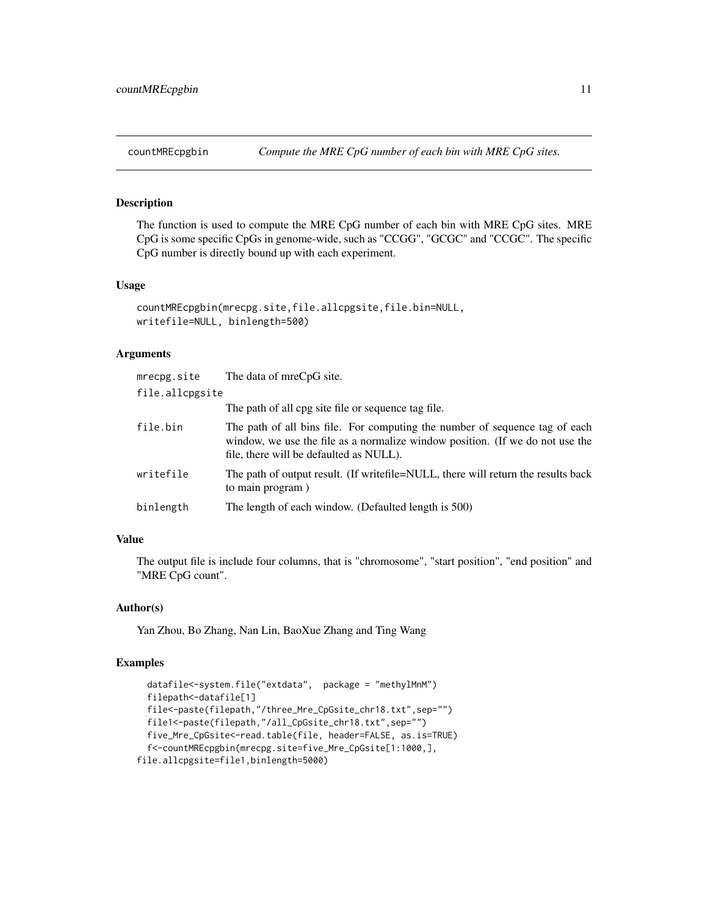<span id="page-10-0"></span>

The function is used to compute the MRE CpG number of each bin with MRE CpG sites. MRE CpG is some specific CpGs in genome-wide, such as "CCGG", "GCGC" and "CCGC". The specific CpG number is directly bound up with each experiment.

#### Usage

```
countMREcpgbin(mrecpg.site,file.allcpgsite,file.bin=NULL,
writefile=NULL, binlength=500)
```
#### Arguments

| mrecpg.site     | The data of mreCpG site.                                                                                                                                                                                |
|-----------------|---------------------------------------------------------------------------------------------------------------------------------------------------------------------------------------------------------|
| file.allcpgsite |                                                                                                                                                                                                         |
|                 | The path of all cpg site file or sequence tag file.                                                                                                                                                     |
| file.bin        | The path of all bins file. For computing the number of sequence tag of each<br>window, we use the file as a normalize window position. (If we do not use the<br>file, there will be defaulted as NULL). |
| writefile       | The path of output result. (If write file = NULL, there will return the results back<br>to main program)                                                                                                |
| binlength       | The length of each window. (Defaulted length is 500)                                                                                                                                                    |

#### Value

The output file is include four columns, that is "chromosome", "start position", "end position" and "MRE CpG count".

#### Author(s)

Yan Zhou, Bo Zhang, Nan Lin, BaoXue Zhang and Ting Wang

```
datafile<-system.file("extdata", package = "methylMnM")
 filepath<-datafile[1]
 file<-paste(filepath,"/three_Mre_CpGsite_chr18.txt",sep="")
 file1<-paste(filepath,"/all_CpGsite_chr18.txt",sep="")
 five_Mre_CpGsite<-read.table(file, header=FALSE, as.is=TRUE)
 f<-countMREcpgbin(mrecpg.site=five_Mre_CpGsite[1:1000,],
file.allcpgsite=file1,binlength=5000)
```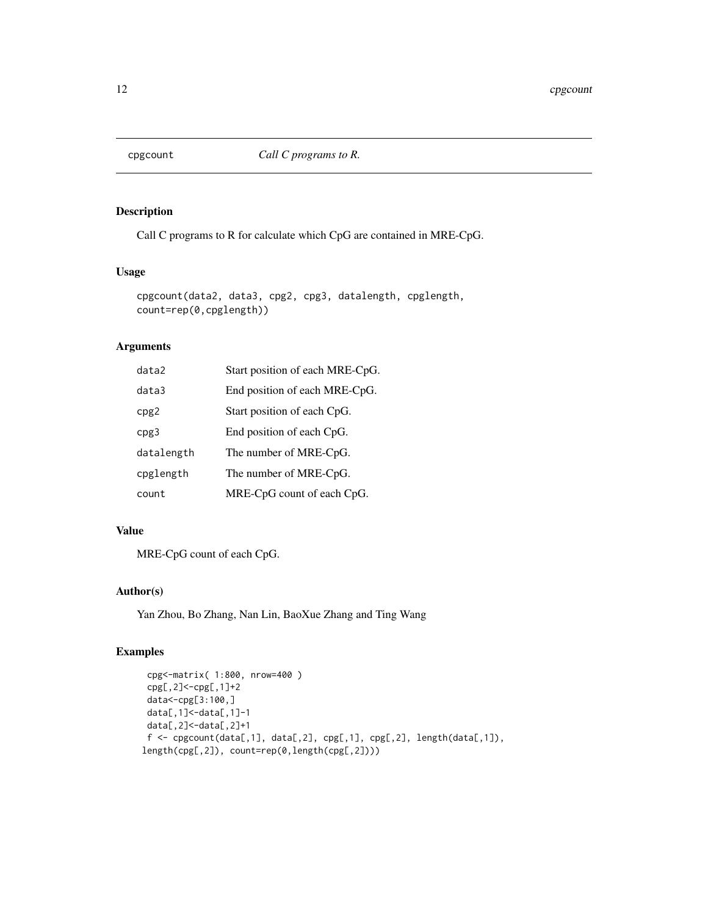<span id="page-11-0"></span>

Call C programs to R for calculate which CpG are contained in MRE-CpG.

#### Usage

```
cpgcount(data2, data3, cpg2, cpg3, datalength, cpglength,
count=rep(0,cpglength))
```
#### Arguments

| data2      | Start position of each MRE-CpG. |
|------------|---------------------------------|
| data3      | End position of each MRE-CpG.   |
| cpg2       | Start position of each CpG.     |
| cpg3       | End position of each CpG.       |
| datalength | The number of MRE-CpG.          |
| cpglength  | The number of MRE-CpG.          |
| count      | MRE-CpG count of each CpG.      |

#### Value

MRE-CpG count of each CpG.

#### Author(s)

Yan Zhou, Bo Zhang, Nan Lin, BaoXue Zhang and Ting Wang

```
cpg<-matrix( 1:800, nrow=400 )
 cpg[,2]<-cpg[,1]+2
 data<-cpg[3:100,]
 data[,1]<-data[,1]-1
 data[,2]<-data[,2]+1
 f \leftarrow \text{cpgcount}(\text{data}[, 1], \text{ data}[, 2], \text{ cpg}[, 1], \text{ cpg}[, 2], \text{ length}(\text{data}[, 1]),length(cpg[,2]), count=rep(0,length(cpg[,2])))
```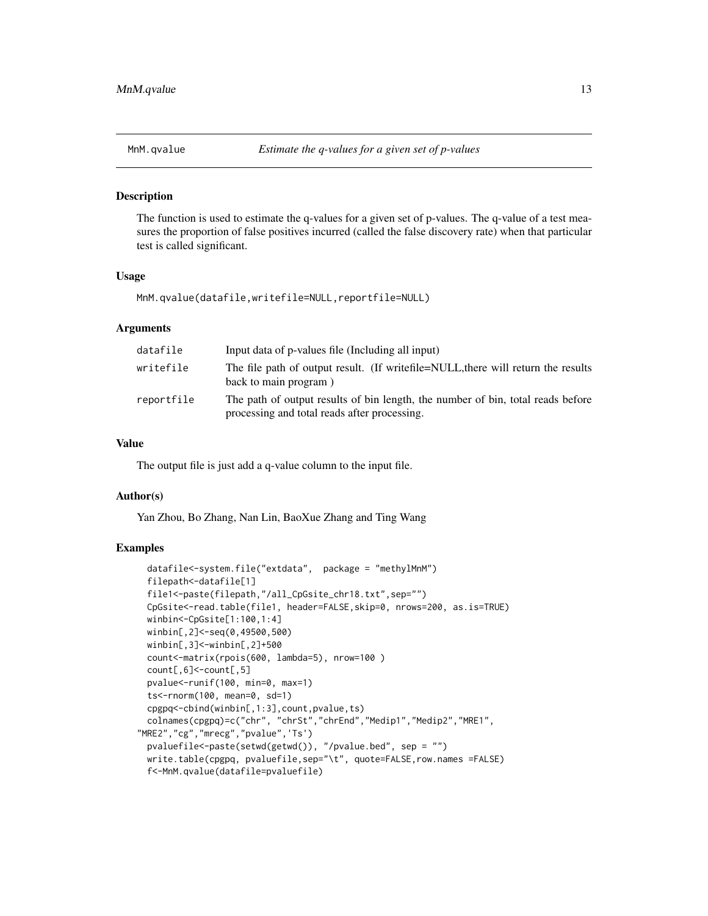<span id="page-12-0"></span>

The function is used to estimate the q-values for a given set of p-values. The q-value of a test measures the proportion of false positives incurred (called the false discovery rate) when that particular test is called significant.

#### Usage

```
MnM.qvalue(datafile,writefile=NULL,reportfile=NULL)
```
#### Arguments

| datafile   | Input data of p-values file (Including all input)                                                                               |  |
|------------|---------------------------------------------------------------------------------------------------------------------------------|--|
| writefile  | The file path of output result. (If writefile=NULL, there will return the results<br>back to main program)                      |  |
| reportfile | The path of output results of bin length, the number of bin, total reads before<br>processing and total reads after processing. |  |

#### Value

The output file is just add a q-value column to the input file.

#### Author(s)

Yan Zhou, Bo Zhang, Nan Lin, BaoXue Zhang and Ting Wang

```
datafile<-system.file("extdata", package = "methylMnM")
 filepath<-datafile[1]
 file1<-paste(filepath,"/all_CpGsite_chr18.txt",sep="")
 CpGsite<-read.table(file1, header=FALSE,skip=0, nrows=200, as.is=TRUE)
 winbin<-CpGsite[1:100,1:4]
 winbin[,2]<-seq(0,49500,500)
 winbin[,3]<-winbin[,2]+500
 count<-matrix(rpois(600, lambda=5), nrow=100 )
 count[,6]<-count[,5]
 pvalue<-runif(100, min=0, max=1)
 ts<-rnorm(100, mean=0, sd=1)
 cpgpq<-cbind(winbin[,1:3],count,pvalue,ts)
 colnames(cpgpq)=c("chr", "chrSt","chrEnd","Medip1","Medip2","MRE1",
"MRE2","cg","mrecg","pvalue",'Ts')
 pvaluefile<-paste(setwd(getwd()), "/pvalue.bed", sep = "")
 write.table(cpgpq, pvaluefile,sep="\t", quote=FALSE,row.names =FALSE)
 f<-MnM.qvalue(datafile=pvaluefile)
```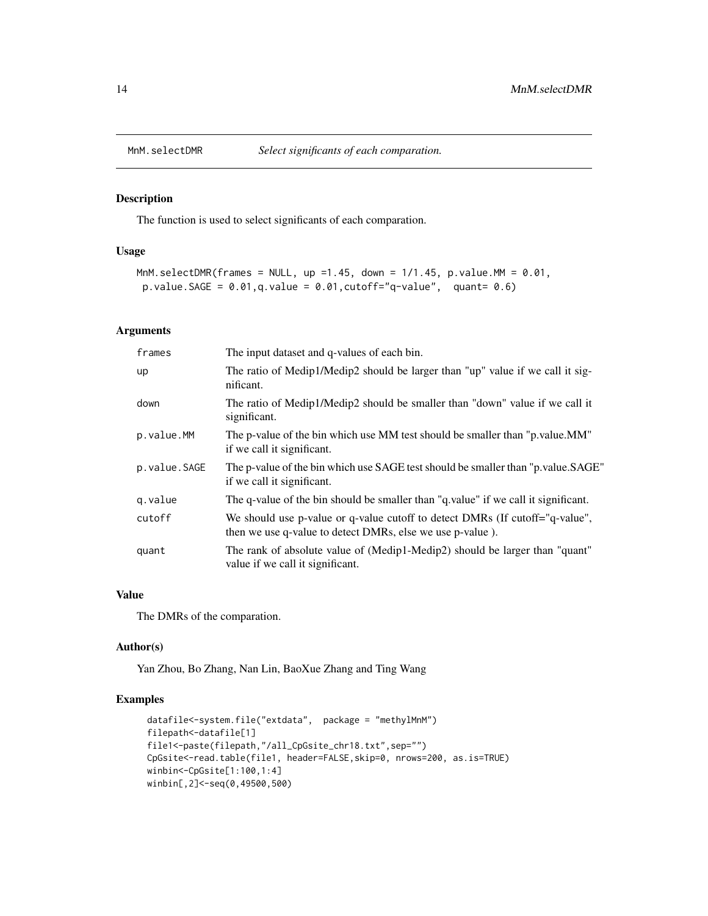<span id="page-13-0"></span>

The function is used to select significants of each comparation.

#### Usage

```
MnM.selectDMR(frames = NULL, up =1.45, down = 1/1.45, p.value.MM = 0.01,
p.value.SAGE = 0.01, q.value = 0.01, cutoff="q-value", quant= 0.6)
```
#### Arguments

| frames       | The input dataset and q-values of each bin.                                                                                               |  |
|--------------|-------------------------------------------------------------------------------------------------------------------------------------------|--|
| up           | The ratio of Medip1/Medip2 should be larger than "up" value if we call it sig-<br>nificant.                                               |  |
| down         | The ratio of Medip1/Medip2 should be smaller than "down" value if we call it<br>significant.                                              |  |
| p.value.MM   | The p-value of the bin which use MM test should be smaller than "p value. MM"<br>if we call it significant.                               |  |
| p.value.SAGE | The p-value of the bin which use SAGE test should be smaller than "p.value.SAGE"<br>if we call it significant.                            |  |
| g.value      | The q-value of the bin should be smaller than "q value" if we call it significant.                                                        |  |
| cutoff       | We should use p-value or q-value cutoff to detect DMRs (If cutoff="q-value",<br>then we use q-value to detect DMRs, else we use p-value). |  |
| quant        | The rank of absolute value of (Medip1-Medip2) should be larger than "quant"<br>value if we call it significant.                           |  |

#### Value

The DMRs of the comparation.

#### Author(s)

Yan Zhou, Bo Zhang, Nan Lin, BaoXue Zhang and Ting Wang

```
datafile<-system.file("extdata", package = "methylMnM")
filepath<-datafile[1]
file1<-paste(filepath,"/all_CpGsite_chr18.txt",sep="")
CpGsite<-read.table(file1, header=FALSE,skip=0, nrows=200, as.is=TRUE)
winbin<-CpGsite[1:100,1:4]
winbin[,2]<-seq(0,49500,500)
```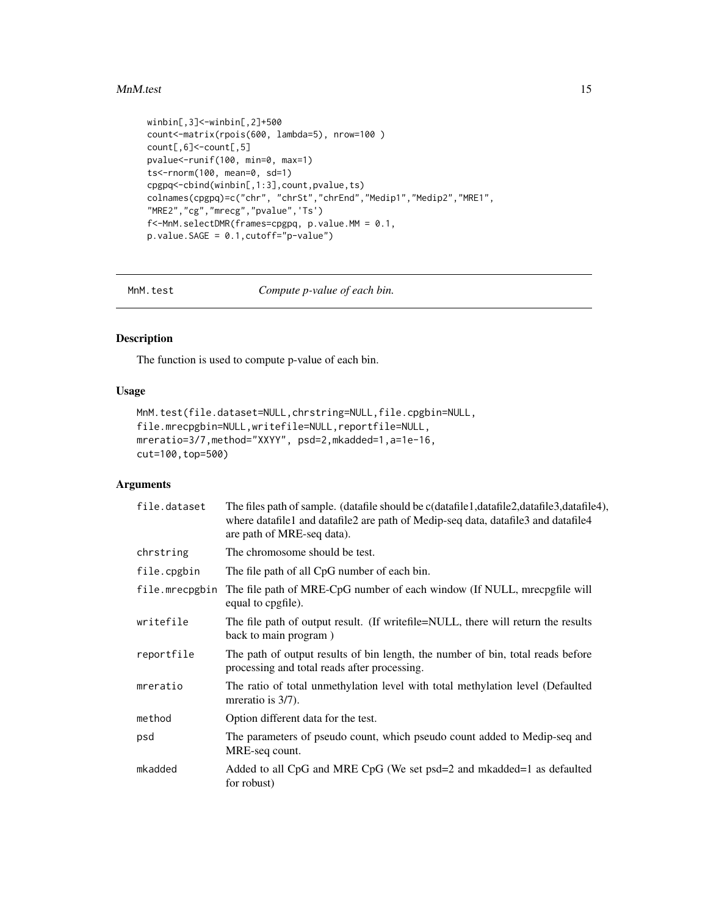#### <span id="page-14-0"></span>MnM.test 15

```
winbin[,3]<-winbin[,2]+500
count<-matrix(rpois(600, lambda=5), nrow=100 )
count[,6]<-count[,5]
pvalue<-runif(100, min=0, max=1)
ts<-rnorm(100, mean=0, sd=1)
cpgpq<-cbind(winbin[,1:3],count,pvalue,ts)
colnames(cpgpq)=c("chr", "chrSt","chrEnd","Medip1","Medip2","MRE1",
"MRE2","cg","mrecg","pvalue",'Ts')
f<-MnM.selectDMR(frames=cpgpq, p.value.MM = 0.1,
p.value.SAGE = 0.1,cutoff="p-value")
```
MnM.test *Compute p-value of each bin.*

#### Description

The function is used to compute p-value of each bin.

#### Usage

```
MnM.test(file.dataset=NULL,chrstring=NULL,file.cpgbin=NULL,
file.mrecpgbin=NULL,writefile=NULL,reportfile=NULL,
mreratio=3/7,method="XXYY", psd=2,mkadded=1,a=1e-16,
cut=100,top=500)
```
#### Arguments

| file.dataset   | The files path of sample. (datafile should be c(datafile1,datafile2,datafile3,datafile4),<br>where datafile1 and datafile2 are path of Medip-seq data, datafile3 and datafile4<br>are path of MRE-seq data). |  |
|----------------|--------------------------------------------------------------------------------------------------------------------------------------------------------------------------------------------------------------|--|
| chrstring      | The chromosome should be test.                                                                                                                                                                               |  |
| file.cpgbin    | The file path of all CpG number of each bin.                                                                                                                                                                 |  |
| file.mrecpgbin | The file path of MRE-CpG number of each window (If NULL, mrecpgfile will<br>equal to cpgfile).                                                                                                               |  |
| writefile      | The file path of output result. (If writefile=NULL, there will return the results<br>back to main program)                                                                                                   |  |
| reportfile     | The path of output results of bin length, the number of bin, total reads before<br>processing and total reads after processing.                                                                              |  |
| mreratio       | The ratio of total unmethylation level with total methylation level (Defaulted<br>mreratio is 3/7).                                                                                                          |  |
| method         | Option different data for the test.                                                                                                                                                                          |  |
| psd            | The parameters of pseudo count, which pseudo count added to Medip-seq and<br>MRE-seq count.                                                                                                                  |  |
| mkadded        | Added to all CpG and MRE CpG (We set psd=2 and mkadded=1 as defaulted<br>for robust)                                                                                                                         |  |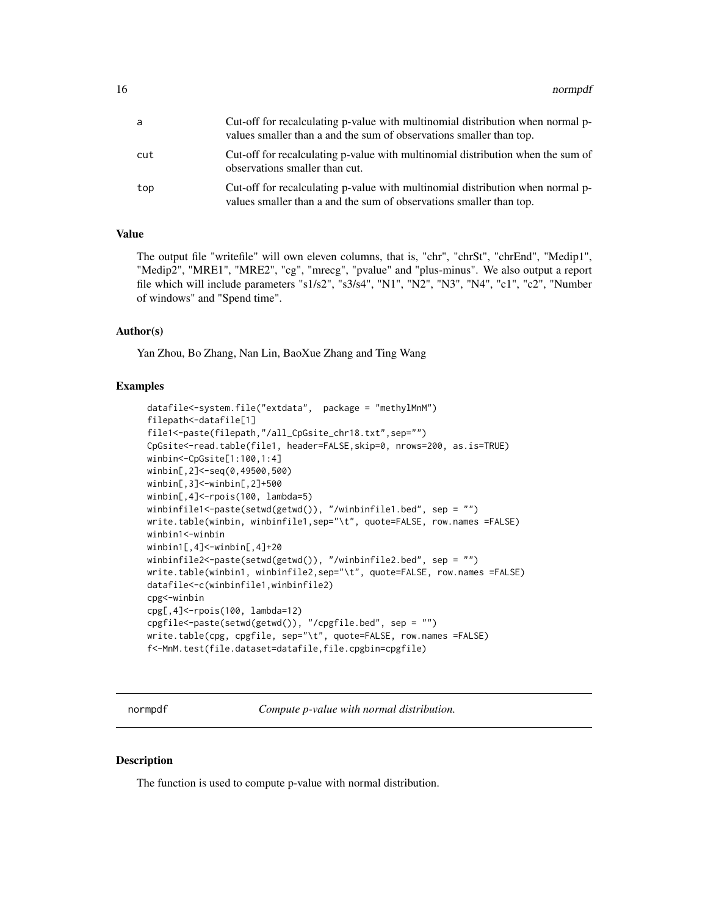<span id="page-15-0"></span>

| a   | Cut-off for recalculating p-value with multinomial distribution when normal p-<br>values smaller than a and the sum of observations smaller than top. |
|-----|-------------------------------------------------------------------------------------------------------------------------------------------------------|
| cut | Cut-off for recalculating p-value with multinomial distribution when the sum of<br>observations smaller than cut.                                     |
| top | Cut-off for recalculating p-value with multinomial distribution when normal p-<br>values smaller than a and the sum of observations smaller than top. |

#### Value

The output file "writefile" will own eleven columns, that is, "chr", "chrSt", "chrEnd", "Medip1", "Medip2", "MRE1", "MRE2", "cg", "mrecg", "pvalue" and "plus-minus". We also output a report file which will include parameters "s1/s2", "s3/s4", "N1", "N2", "N3", "N4", "c1", "c2", "Number of windows" and "Spend time".

#### Author(s)

Yan Zhou, Bo Zhang, Nan Lin, BaoXue Zhang and Ting Wang

#### Examples

```
datafile<-system.file("extdata", package = "methylMnM")
filepath<-datafile[1]
file1<-paste(filepath,"/all_CpGsite_chr18.txt",sep="")
CpGsite<-read.table(file1, header=FALSE,skip=0, nrows=200, as.is=TRUE)
winbin<-CpGsite[1:100,1:4]
winbin[,2]<-seq(0,49500,500)
winbin[,3]<-winbin[,2]+500
winbin[,4]<-rpois(100, lambda=5)
winbinfile1<-paste(setwd(getwd()), "/winbinfile1.bed", sep = "")
write.table(winbin, winbinfile1,sep="\t", quote=FALSE, row.names =FALSE)
winbin1<-winbin
winbin1[,4]<-winbin[,4]+20
winbinfile2<-paste(setwd(getwd()), "/winbinfile2.bed", sep = "")
write.table(winbin1, winbinfile2,sep="\t", quote=FALSE, row.names =FALSE)
datafile<-c(winbinfile1,winbinfile2)
cpg<-winbin
cpg[,4]<-rpois(100, lambda=12)
cpgfile<-paste(setwd(getwd()), "/cpgfile.bed", sep = "")
write.table(cpg, cpgfile, sep="\t", quote=FALSE, row.names =FALSE)
f<-MnM.test(file.dataset=datafile,file.cpgbin=cpgfile)
```
normpdf *Compute p-value with normal distribution.*

#### Description

The function is used to compute p-value with normal distribution.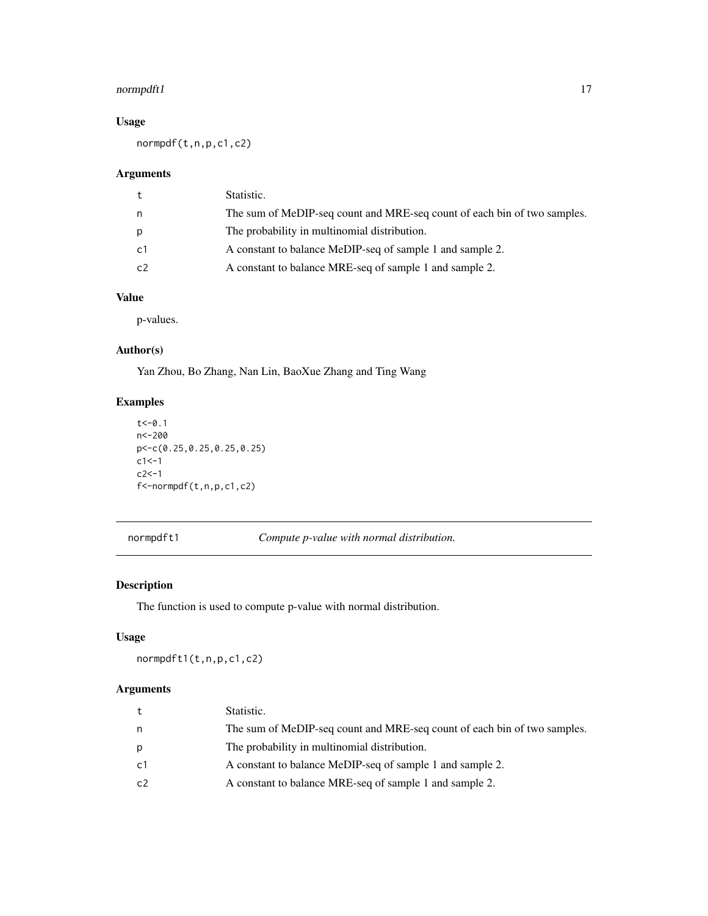#### <span id="page-16-0"></span>normpdft1 17

#### Usage

normpdf(t,n,p,c1,c2)

#### Arguments

| t  | Statistic.                                                               |
|----|--------------------------------------------------------------------------|
| n  | The sum of MeDIP-seq count and MRE-seq count of each bin of two samples. |
| p  | The probability in multinomial distribution.                             |
| c1 | A constant to balance MeDIP-seq of sample 1 and sample 2.                |
| c2 | A constant to balance MRE-seq of sample 1 and sample 2.                  |

#### Value

p-values.

#### Author(s)

Yan Zhou, Bo Zhang, Nan Lin, BaoXue Zhang and Ting Wang

#### Examples

```
t < -0.1n<-200
p<-c(0.25,0.25,0.25,0.25)
c1 < -1c2 < -1f<-normpdf(t,n,p,c1,c2)
```
normpdft1 *Compute p-value with normal distribution.*

#### Description

The function is used to compute p-value with normal distribution.

#### Usage

normpdft1(t,n,p,c1,c2)

#### Arguments

| t              | Statistic.                                                               |
|----------------|--------------------------------------------------------------------------|
| n              | The sum of MeDIP-seq count and MRE-seq count of each bin of two samples. |
| p              | The probability in multinomial distribution.                             |
| c <sub>1</sub> | A constant to balance MeDIP-seq of sample 1 and sample 2.                |
| c2             | A constant to balance MRE-seq of sample 1 and sample 2.                  |
|                |                                                                          |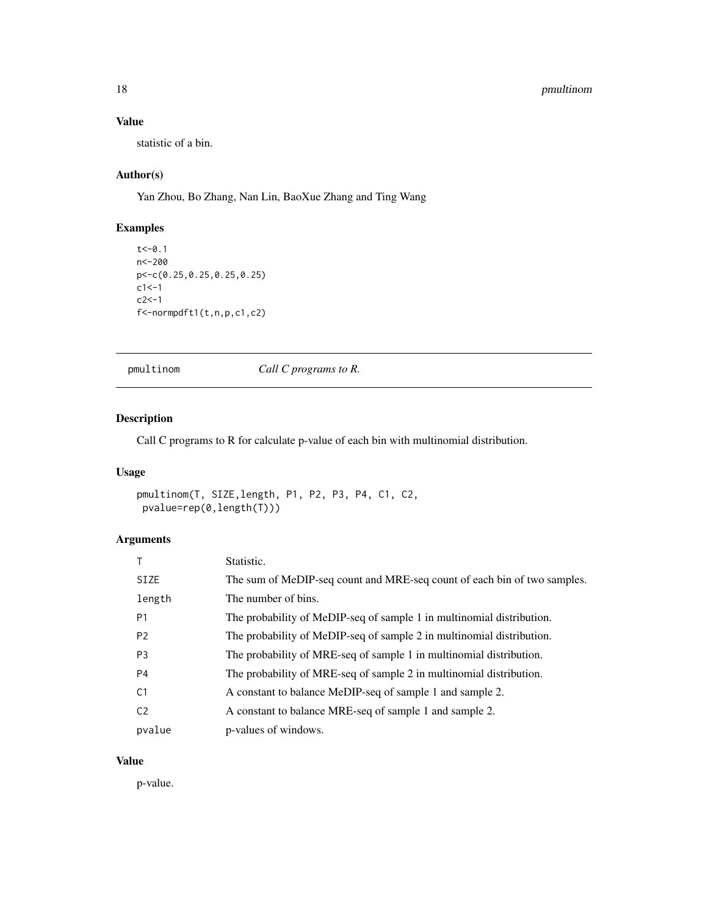#### <span id="page-17-0"></span>18 *pmultinom*

#### Value

statistic of a bin.

#### Author(s)

Yan Zhou, Bo Zhang, Nan Lin, BaoXue Zhang and Ting Wang

#### Examples

```
t < -0.1n<-200
p<-c(0.25,0.25,0.25,0.25)
c1 <-1
c2<-1
f<-normpdft1(t,n,p,c1,c2)
```
pmultinom *Call C programs to R.*

#### Description

Call C programs to R for calculate p-value of each bin with multinomial distribution.

#### Usage

```
pmultinom(T, SIZE,length, P1, P2, P3, P4, C1, C2,
pvalue=rep(0,length(T)))
```
#### Arguments

|                | Statistic.                                                               |  |
|----------------|--------------------------------------------------------------------------|--|
| <b>SIZE</b>    | The sum of MeDIP-seq count and MRE-seq count of each bin of two samples. |  |
| length         | The number of bins.                                                      |  |
| P <sub>1</sub> | The probability of MeDIP-seq of sample 1 in multinomial distribution.    |  |
| P <sub>2</sub> | The probability of MeDIP-seq of sample 2 in multinomial distribution.    |  |
| P <sub>3</sub> | The probability of MRE-seq of sample 1 in multinomial distribution.      |  |
| P <sub>4</sub> | The probability of MRE-seq of sample 2 in multinomial distribution.      |  |
| C <sub>1</sub> | A constant to balance MeDIP-seq of sample 1 and sample 2.                |  |
| C <sub>2</sub> | A constant to balance MRE-seq of sample 1 and sample 2.                  |  |
| pvalue         | p-values of windows.                                                     |  |

#### Value

p-value.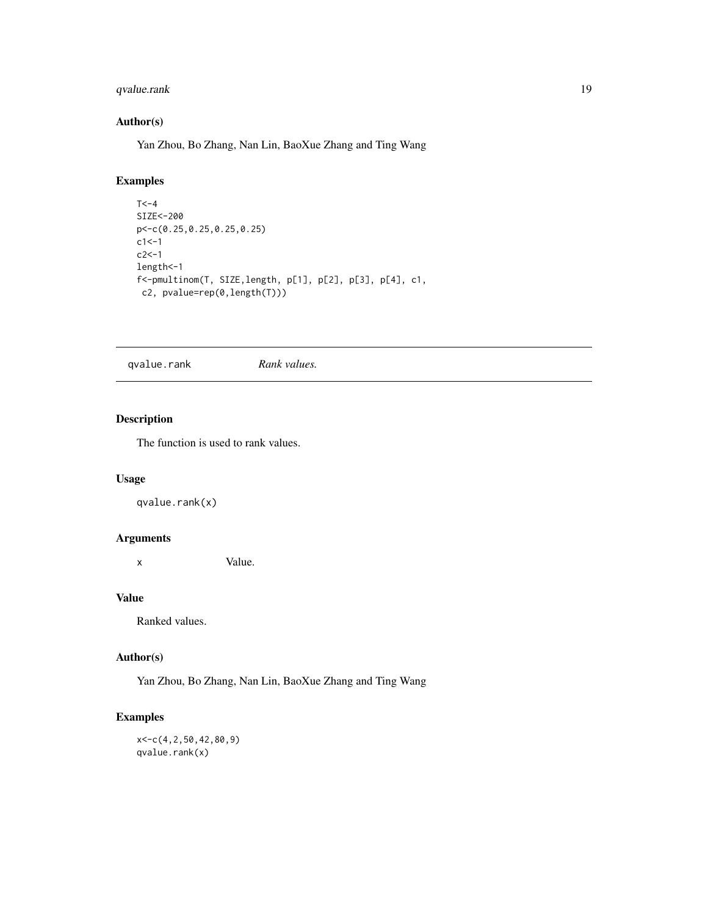#### <span id="page-18-0"></span>qvalue.rank 19

#### Author(s)

Yan Zhou, Bo Zhang, Nan Lin, BaoXue Zhang and Ting Wang

#### Examples

```
T < -4SIZE<-200
p<-c(0.25,0.25,0.25,0.25)
c1 <-1
c2 < -1length<-1
f<-pmultinom(T, SIZE,length, p[1], p[2], p[3], p[4], c1,
 c2, pvalue=rep(0,length(T)))
```
qvalue.rank *Rank values.*

#### Description

The function is used to rank values.

#### Usage

qvalue.rank(x)

#### Arguments

x Value.

#### Value

Ranked values.

#### Author(s)

Yan Zhou, Bo Zhang, Nan Lin, BaoXue Zhang and Ting Wang

#### Examples

x<-c(4,2,50,42,80,9) qvalue.rank(x)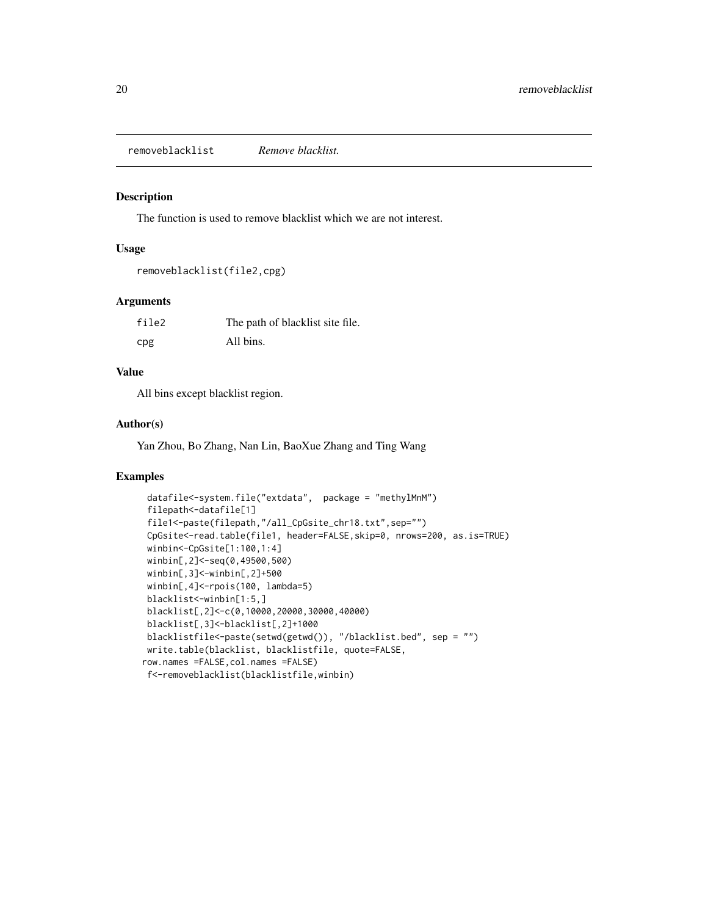<span id="page-19-0"></span>removeblacklist *Remove blacklist.*

#### Description

The function is used to remove blacklist which we are not interest.

#### Usage

```
removeblacklist(file2,cpg)
```
#### Arguments

| file2 | The path of blacklist site file. |
|-------|----------------------------------|
| cpg   | All bins.                        |

#### Value

All bins except blacklist region.

#### Author(s)

Yan Zhou, Bo Zhang, Nan Lin, BaoXue Zhang and Ting Wang

```
datafile<-system.file("extdata", package = "methylMnM")
filepath<-datafile[1]
file1<-paste(filepath,"/all_CpGsite_chr18.txt",sep="")
CpGsite<-read.table(file1, header=FALSE,skip=0, nrows=200, as.is=TRUE)
winbin<-CpGsite[1:100,1:4]
winbin[,2]<-seq(0,49500,500)
winbin[,3]<-winbin[,2]+500
winbin[,4]<-rpois(100, lambda=5)
blacklist<-winbin[1:5,]
blacklist[,2]<-c(0,10000,20000,30000,40000)
blacklist[,3]<-blacklist[,2]+1000
blacklistfile<-paste(setwd(getwd()), "/blacklist.bed", sep = "")
write.table(blacklist, blacklistfile, quote=FALSE,
row.names =FALSE,col.names =FALSE)
f<-removeblacklist(blacklistfile,winbin)
```